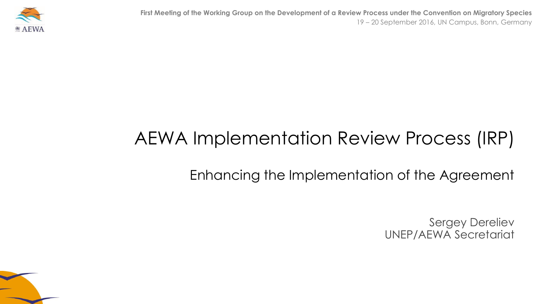**First Meeting of the Working Group on the Development of a Review Process under the Convention on Migratory Species** 19 – 20 September 2016, UN Campus, Bonn, Germany



# AEWA Implementation Review Process (IRP)

### Enhancing the Implementation of the Agreement

Sergey Dereliev UNEP/AEWA Secretariat

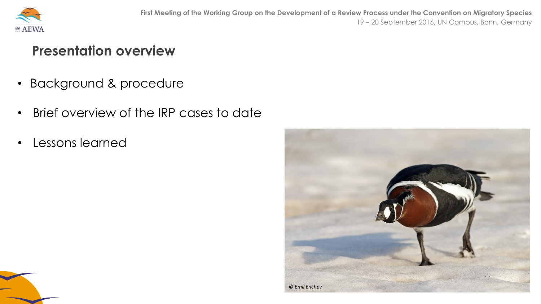

#### **Presentation overview**

- Background & procedure
- Brief overview of the IRP cases to date
- Lessons learned

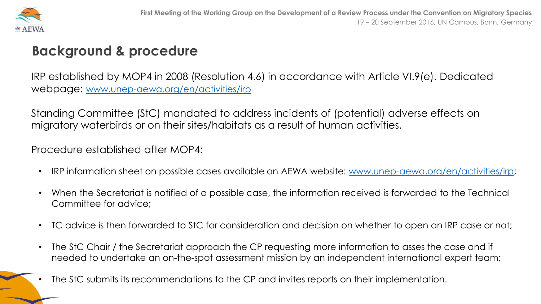

#### **Background & procedure**

IRP established by MOP4 in 2008 (Resolution 4.6) in accordance with Article VI.9(e). Dedicated webpage: [www.unep-aewa.org/en/activities/irp](http://www.unep-aewa.org/en/activities/irp)

Standing Committee (StC) mandated to address incidents of (potential) adverse effects on migratory waterbirds or on their sites/habitats as a result of human activities.

Procedure established after MOP4:

- IRP information sheet on possible cases available on AEWA website: [www.unep-aewa.org/en/activities/irp;](http://www.unep-aewa.org/en/activities/irp)
- When the Secretariat is notified of a possible case, the information received is forwarded to the Technical Committee for advice;
- TC advice is then forwarded to StC for consideration and decision on whether to open an IRP case or not;
- The StC Chair / the Secretariat approach the CP requesting more information to asses the case and if needed to undertake an on-the-spot assessment mission by an independent international expert team;
- The StC submits its recommendations to the CP and invites reports on their implementation.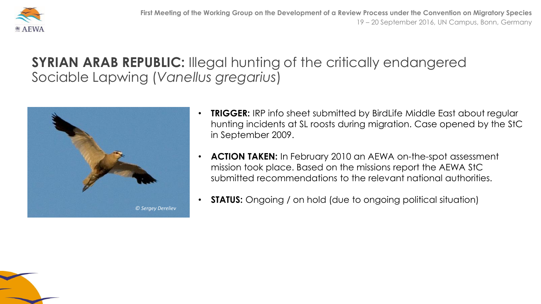

#### **SYRIAN ARAB REPUBLIC:** Illegal hunting of the critically endangered Sociable Lapwing (*Vanellus gregarius*)



- **TRIGGER:** IRP info sheet submitted by BirdLife Middle East about regular hunting incidents at SL roosts during migration. Case opened by the StC in September 2009.
- **ACTION TAKEN:** In February 2010 an AEWA on-the-spot assessment mission took place. Based on the missions report the AEWA StC submitted recommendations to the relevant national authorities.
- **STATUS:** Ongoing / on hold (due to ongoing political situation)

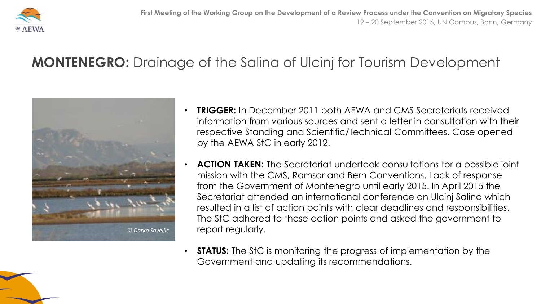

## **MONTENEGRO:** Drainage of the Salina of Ulcinj for Tourism Development



- **TRIGGER:** In December 2011 both AEWA and CMS Secretariats received information from various sources and sent a letter in consultation with their respective Standing and Scientific/Technical Committees. Case opened by the AEWA StC in early 2012.
- **ACTION TAKEN:** The Secretariat undertook consultations for a possible joint mission with the CMS, Ramsar and Bern Conventions. Lack of response from the Government of Montenegro until early 2015. In April 2015 the Secretariat attended an international conference on Ulcinj Salina which resulted in a list of action points with clear deadlines and responsibilities. The StC adhered to these action points and asked the government to report regularly.
- **STATUS:** The StC is monitoring the progress of implementation by the Government and updating its recommendations.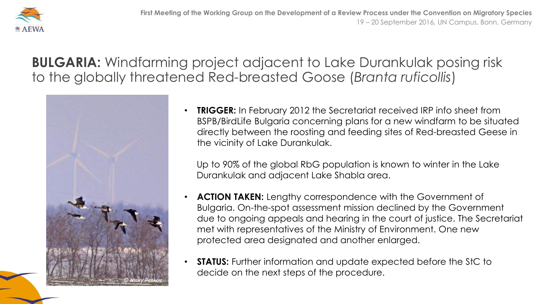

**BULGARIA:** Windfarming project adjacent to Lake Durankulak posing risk to the globally threatened Red-breasted Goose (*Branta ruficollis*)



• **TRIGGER:** In February 2012 the Secretariat received IRP info sheet from BSPB/BirdLife Bulgaria concerning plans for a new windfarm to be situated directly between the roosting and feeding sites of Red-breasted Geese in the vicinity of Lake Durankulak.

Up to 90% of the global RbG population is known to winter in the Lake Durankulak and adjacent Lake Shabla area.

- **ACTION TAKEN:** Lengthy correspondence with the Government of Bulgaria. On-the-spot assessment mission declined by the Government due to ongoing appeals and hearing in the court of justice. The Secretariat met with representatives of the Ministry of Environment. One new protected area designated and another enlarged.
- **STATUS:** Further information and update expected before the StC to decide on the next steps of the procedure.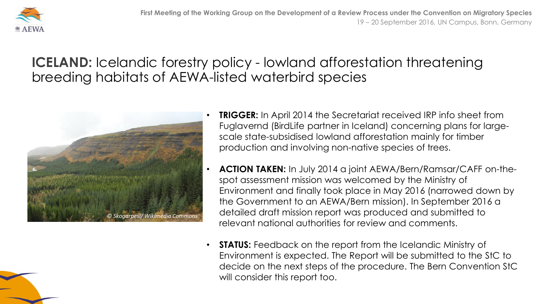

#### **ICELAND:** Icelandic forestry policy - lowland afforestation threatening breeding habitats of AEWA-listed waterbird species



- **TRIGGER:** In April 2014 the Secretariat received IRP info sheet from Fuglavernd (BirdLife partner in Iceland) concerning plans for largescale state-subsidised lowland afforestation mainly for timber production and involving non-native species of trees.
- **ACTION TAKEN:** In July 2014 a joint AEWA/Bern/Ramsar/CAFF on-thespot assessment mission was welcomed by the Ministry of Environment and finally took place in May 2016 (narrowed down by the Government to an AEWA/Bern mission). In September 2016 a detailed draft mission report was produced and submitted to relevant national authorities for review and comments.
- **STATUS:** Feedback on the report from the Icelandic Ministry of Environment is expected. The Report will be submitted to the StC to decide on the next steps of the procedure. The Bern Convention StC will consider this report too.